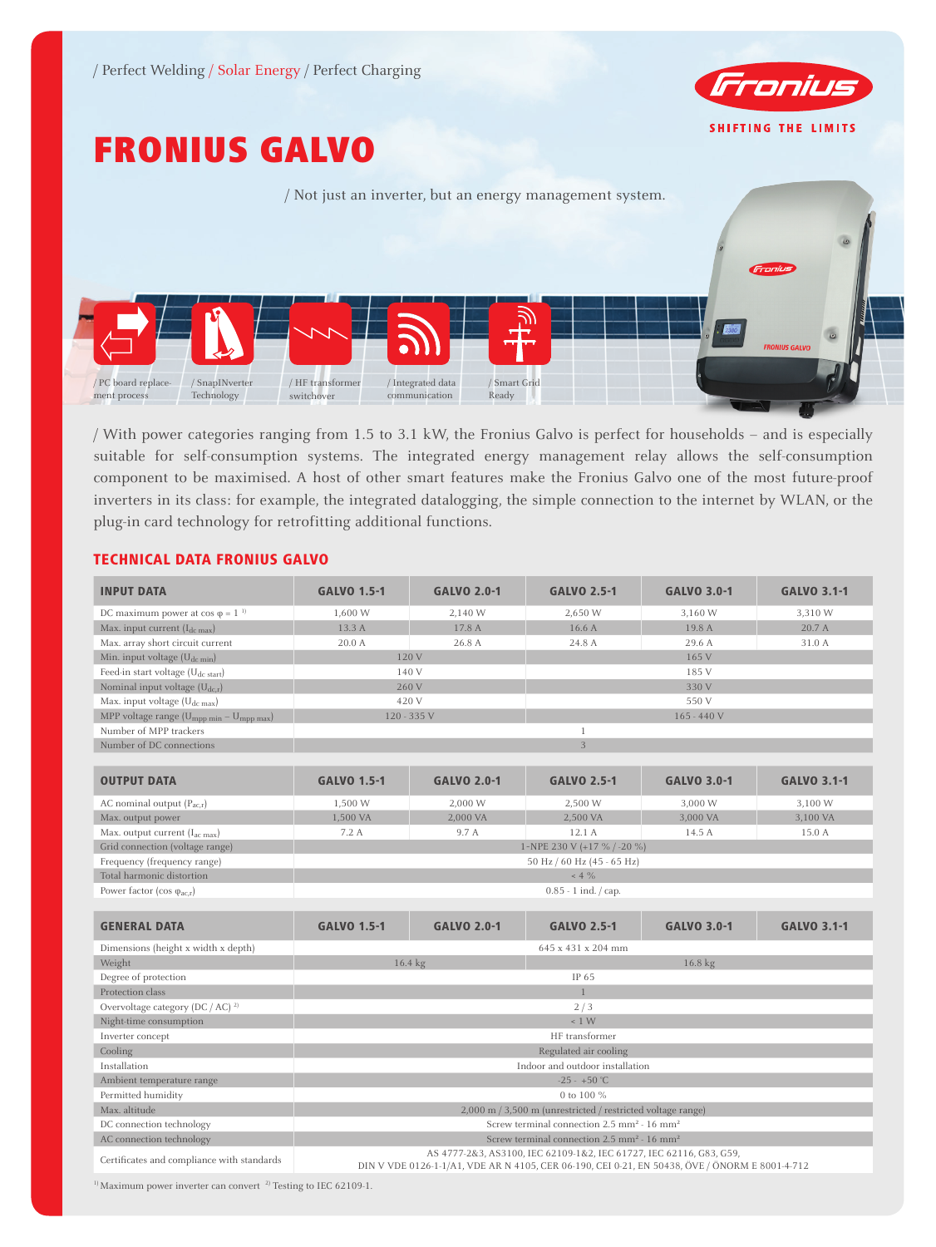

# FRONIUS GALVO



/ With power categories ranging from 1.5 to 3.1 kW, the Fronius Galvo is perfect for households – and is especially suitable for self-consumption systems. The integrated energy management relay allows the self-consumption component to be maximised. A host of other smart features make the Fronius Galvo one of the most future-proof inverters in its class: for example, the integrated datalogging, the simple connection to the internet by WLAN, or the plug-in card technology for retrofitting additional functions.

### TECHNICAL DATA FRONIUS GALVO

| <b>INPUT DATA</b>                                                | <b>GALVO 1.5-1</b>                                                                                                                                                    | <b>GALVO 2.0-1</b> | <b>GALVO 2.5-1</b> | <b>GALVO 3.0-1</b> | <b>GALVO 3.1-1</b> |  |
|------------------------------------------------------------------|-----------------------------------------------------------------------------------------------------------------------------------------------------------------------|--------------------|--------------------|--------------------|--------------------|--|
| DC maximum power at $cos \varphi = 1^{-1}$                       | 1,600 W                                                                                                                                                               | 2,140 W            | 2,650 W            | 3,160 W            | 3,310 W            |  |
| Max. input current $(I_{dc\ max})$                               | 13.3 A                                                                                                                                                                | 17.8 A             | 16.6 A             | 19.8 A             | 20.7 A             |  |
| Max. array short circuit current                                 | 20.0 A                                                                                                                                                                | 26.8 A             | 24.8 A             | 29.6 A             | 31.0 A             |  |
| Min. input voltage $(U_{dc,min})$                                | 120 V                                                                                                                                                                 |                    | 165 V              |                    |                    |  |
| Feed-in start voltage (U <sub>dc start</sub> )                   | 140 V                                                                                                                                                                 |                    | 185 V              |                    |                    |  |
| Nominal input voltage $(U_{dc,r})$                               | 260 V                                                                                                                                                                 |                    | 330 V              |                    |                    |  |
| Max. input voltage (U <sub>dc max</sub> )                        | 420 V                                                                                                                                                                 |                    | 550 V              |                    |                    |  |
| MPP voltage range (U <sub>mpp min</sub> - U <sub>mpp max</sub> ) | 120 - 335 V                                                                                                                                                           |                    | $165 - 440V$       |                    |                    |  |
| Number of MPP trackers                                           | $\mathbf{1}$                                                                                                                                                          |                    |                    |                    |                    |  |
| Number of DC connections                                         | $\overline{3}$                                                                                                                                                        |                    |                    |                    |                    |  |
| <b>OUTPUT DATA</b>                                               | <b>GALVO 1.5-1</b>                                                                                                                                                    | <b>GALVO 2.0-1</b> | <b>GALVO 2.5-1</b> | <b>GALVO 3.0-1</b> | <b>GALVO 3.1-1</b> |  |
| AC nominal output $(P_{acx})$                                    | 1,500 W                                                                                                                                                               | 2,000 W            | 2,500 W            | 3,000 W            | 3,100 W            |  |
| Max. output power                                                | 1,500 VA                                                                                                                                                              | 2,000 VA           | 2,500 VA           | 3,000 VA           | 3,100 VA           |  |
| Max. output current $(I_{ac max})$                               | 7.2A                                                                                                                                                                  | 9.7 A              | 12.1 A             | 14.5 A             | 15.0 A             |  |
| Grid connection (voltage range)                                  | 1~NPE 230 V (+17 % / -20 %)                                                                                                                                           |                    |                    |                    |                    |  |
| Frequency (frequency range)                                      | 50 Hz / 60 Hz (45 - 65 Hz)                                                                                                                                            |                    |                    |                    |                    |  |
| Total harmonic distortion                                        | $< 4 \%$                                                                                                                                                              |                    |                    |                    |                    |  |
| Power factor (cos $\varphi_{ac, r}$ )                            | $0.85 - 1$ ind. $\frac{1}{2}$ cap.                                                                                                                                    |                    |                    |                    |                    |  |
| <b>GENERAL DATA</b>                                              | <b>GALVO 1.5-1</b>                                                                                                                                                    | <b>GALVO 2.0-1</b> | <b>GALVO 2.5-1</b> | <b>GALVO 3.0-1</b> | <b>GALVO 3.1-1</b> |  |
| Dimensions (height x width x depth)                              |                                                                                                                                                                       |                    | 645 x 431 x 204 mm |                    |                    |  |
| Weight                                                           |                                                                                                                                                                       | 16.4 kg            | 16.8 kg            |                    |                    |  |
| Degree of protection                                             | IP 65                                                                                                                                                                 |                    |                    |                    |                    |  |
| Protection class                                                 |                                                                                                                                                                       |                    |                    |                    |                    |  |
| Overvoltage category (DC / AC) $^{2}$                            | 2/3                                                                                                                                                                   |                    |                    |                    |                    |  |
| Night-time consumption                                           | $\leq 1$ W                                                                                                                                                            |                    |                    |                    |                    |  |
| Inverter concept                                                 | HF transformer                                                                                                                                                        |                    |                    |                    |                    |  |
| Cooling                                                          | Regulated air cooling                                                                                                                                                 |                    |                    |                    |                    |  |
| Installation                                                     | Indoor and outdoor installation                                                                                                                                       |                    |                    |                    |                    |  |
| Ambient temperature range                                        | $-25 - +50$ °C                                                                                                                                                        |                    |                    |                    |                    |  |
| Permitted humidity                                               | 0 to 100 %                                                                                                                                                            |                    |                    |                    |                    |  |
| Max. altitude                                                    | 2,000 m / 3,500 m (unrestricted / restricted voltage range)                                                                                                           |                    |                    |                    |                    |  |
| DC connection technology                                         | Screw terminal connection 2.5 mm <sup>2</sup> - 16 mm <sup>2</sup>                                                                                                    |                    |                    |                    |                    |  |
| AC connection technology                                         | Screw terminal connection 2.5 mm <sup>2</sup> - 16 mm <sup>2</sup>                                                                                                    |                    |                    |                    |                    |  |
| Certificates and compliance with standards                       | AS 4777-2&3, AS3100, IEC 62109-1&2, IEC 61727, IEC 62116, G83, G59,<br>DIN V VDE 0126-1-1/A1, VDE AR N 4105, CER 06-190, CEI 0-21, EN 50438, ÖVE / ÖNORM E 8001-4-712 |                    |                    |                    |                    |  |

 $^{\rm 1)}$  Maximum power inverter can convert  $^{\rm 2)}$  Testing to IEC 62109-1.